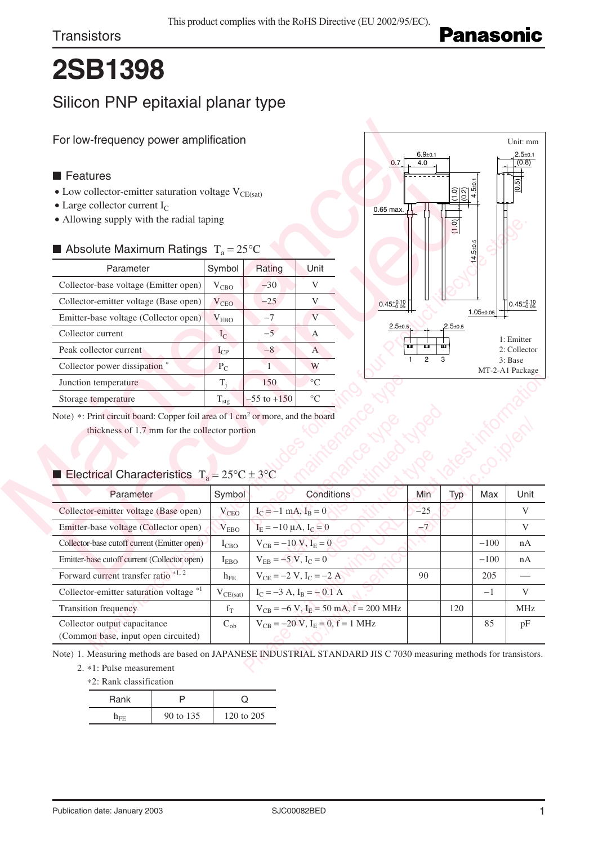# **2SB1398**

## Silicon PNP epitaxial planar type

#### ■ Features

- $\bullet$  Low collector-emitter saturation voltage  $\rm V_{CE(sat)}$
- $\bullet$  Large collector current I<sub>C</sub>
- Allowing supply with the radial taping

### Absolute Maximum Ratings  $T_a = 25^{\circ}C$

| For low-frequency power amplification                                                                                                                                                                        | $6.9 + 0.1$      |                               |                             |                        |           |
|--------------------------------------------------------------------------------------------------------------------------------------------------------------------------------------------------------------|------------------|-------------------------------|-----------------------------|------------------------|-----------|
|                                                                                                                                                                                                              |                  |                               |                             | 0.7<br>4.0             |           |
| <b>■ Features</b>                                                                                                                                                                                            |                  |                               |                             |                        |           |
| • Low collector-emitter saturation voltage $V_{CE(sat)}$                                                                                                                                                     |                  | $\frac{1}{2}$                 |                             |                        |           |
| • Large collector current $I_C$                                                                                                                                                                              | $0.65$ max.      |                               |                             |                        |           |
| • Allowing supply with the radial taping                                                                                                                                                                     |                  | $\boxed{0}$                   |                             |                        |           |
| Absolute Maximum Ratings $T_a = 25^{\circ}C$                                                                                                                                                                 |                  |                               |                             |                        |           |
| Parameter                                                                                                                                                                                                    | Symbol           | Rating                        | Unit                        |                        |           |
| Collector-base voltage (Emitter open)                                                                                                                                                                        | $V_{CBO}$        | $-30$                         | V                           |                        |           |
| Collector-emitter voltage (Base open)                                                                                                                                                                        | $V_{CEO}$        | $-25$                         | V                           | $0.45^{+0.10}_{-0.05}$ |           |
| Emitter-base voltage (Collector open)                                                                                                                                                                        | $\rm V_{EBO}$    | $-7$                          | V                           |                        |           |
| Collector current                                                                                                                                                                                            | $I_{\rm C}$      | $-5$                          | A                           | $2.5 + 0.5$            | $2.5 + 0$ |
| Peak collector current                                                                                                                                                                                       | $I_{\rm CP}$     | $-8$                          | $\mathbf{A}$                |                        |           |
| Collector power dissipation *                                                                                                                                                                                | $P_{C}$          | $\mathbf{1}$                  | W                           | $\overline{2}$         | 3         |
| Junction temperature                                                                                                                                                                                         | $T_i$            | 150                           | $\circ$ C                   |                        |           |
| Storage temperature                                                                                                                                                                                          | $T_{\text{stg}}$ | $-55$ to $+150$               | $\rm ^{\circ}C$             |                        |           |
| Note) *: Print circuit board: Copper foil area of 1 cm <sup>2</sup> or more, and the board<br>thickness of 1.7 mm for the collector portion<br>Electrical Characteristics $T_a = 25^{\circ}C \pm 3^{\circ}C$ |                  |                               |                             |                        |           |
| Parameter                                                                                                                                                                                                    | Symbol           |                               | Conditions                  | Min                    | Ту        |
| Collector-emitter voltage (Base open)                                                                                                                                                                        | $V_{\text{CEO}}$ | $I_C = -1$ mA, $I_B = 0$      |                             | $-25$                  |           |
| Emitter-base voltage (Collector open)                                                                                                                                                                        | $V_{EBO}$        | $I_E = -10 \mu A$ , $I_C = 0$ |                             | $-7$                   |           |
| Collector-base cutoff current (Emitter open)                                                                                                                                                                 | $I_{CBO}$        | $V_{CB} = -10 V, I_E = 0$     |                             |                        |           |
| Emitter-base cutoff current (Collector open)                                                                                                                                                                 | $I_{EBO}$        | $V_{EB} = -5 V, I_C = 0$      |                             |                        |           |
| Forward current transfer ratio *1, 2                                                                                                                                                                         | $h_{\rm FE}$     |                               | $V_{CE} = -2 V, I_C = -2 A$ | 90                     |           |



#### **Electrical Characteristics**  $T_a = 25^{\circ}\text{C} \pm 3^{\circ}\text{C}$

| Parameter                                                                                                                                                                                                                                                                                                                                                                             | Symbol           | Rating                        | Unit                                            |                |             |                 |                                               |
|---------------------------------------------------------------------------------------------------------------------------------------------------------------------------------------------------------------------------------------------------------------------------------------------------------------------------------------------------------------------------------------|------------------|-------------------------------|-------------------------------------------------|----------------|-------------|-----------------|-----------------------------------------------|
| Collector-base voltage (Emitter open)                                                                                                                                                                                                                                                                                                                                                 | $V_{CBO}$        | $-30$                         | V                                               |                |             |                 |                                               |
| Collector-emitter voltage (Base open)                                                                                                                                                                                                                                                                                                                                                 | $V_{CEO}$        | $-25$                         | V<br>$0.45^{+0.10}_{-0.05}$                     |                |             |                 | $0.45_{-0.05}^{+0.10}$                        |
| Emitter-base voltage (Collector open)                                                                                                                                                                                                                                                                                                                                                 | $\rm V_{EBO}$    | $-7$                          | V                                               |                |             | $1.05 \pm 0.05$ |                                               |
| Collector current                                                                                                                                                                                                                                                                                                                                                                     | $I_{C}$          | $-5$                          | $2.5 + 0.5$<br>$\mathbf{A}$                     |                | $2.5 + 0.5$ |                 | 1: Emitter                                    |
| Peak collector current                                                                                                                                                                                                                                                                                                                                                                | $I_{CP}$         | $-8$                          | A                                               | ш<br>ш         |             |                 | 2: Collector                                  |
| Collector power dissipation *                                                                                                                                                                                                                                                                                                                                                         | $P_{C}$          | $\overline{1}$                | W                                               | $\overline{2}$ | 3           | MT-2-A1 Package | 3: Base                                       |
| Junction temperature                                                                                                                                                                                                                                                                                                                                                                  | $T_i$            | 150                           | $\rm ^{\circ}C$                                 |                |             |                 |                                               |
| Storage temperature                                                                                                                                                                                                                                                                                                                                                                   | $T_{\text{stg}}$ | $-55$ to $+150$               | $\circ$ C                                       |                |             |                 |                                               |
| thickness of 1.7 mm for the collector portion                                                                                                                                                                                                                                                                                                                                         |                  |                               |                                                 |                |             |                 |                                               |
| Parameter                                                                                                                                                                                                                                                                                                                                                                             | Symbol           |                               | Conditions                                      | Min            | Typ         | Max             |                                               |
|                                                                                                                                                                                                                                                                                                                                                                                       | $V_{CEO}$        | $I_C = -1$ mA, $I_B = 0$      |                                                 | $-25$          |             |                 |                                               |
|                                                                                                                                                                                                                                                                                                                                                                                       | V <sub>EBO</sub> | $I_E = -10 \mu A$ , $I_C = 0$ |                                                 | $-7$           |             |                 |                                               |
|                                                                                                                                                                                                                                                                                                                                                                                       | $I_{CBO}$        | $V_{CB} = -10 V, I_E = 0$     |                                                 |                |             | $-100$          |                                               |
|                                                                                                                                                                                                                                                                                                                                                                                       | $I_{EBO}$        | $V_{EB} = -5 V, I_C = 0$      |                                                 |                |             | $-100$          |                                               |
| Note) *: Print circuit board: Copper foil area of 1 cm <sup>2</sup> or more, and the board<br>Electrical Characteristics $T_a = 25^{\circ}C \pm 3^{\circ}C$<br>Collector-emitter voltage (Base open)<br>Emitter-base voltage (Collector open)<br>Collector-base cutoff current (Emitter open)<br>Emitter-base cutoff current (Collector open)<br>Forward current transfer ratio *1, 2 | $h_{FE}$         | $V_{CE} = -2 V, I_C = -2 A$   |                                                 | 90             |             | 205             |                                               |
| Collector-emitter saturation voltage *1                                                                                                                                                                                                                                                                                                                                               | $V_{CE(sat)}$    |                               | $I_C = -3$ A, $I_R = -0.1$ A                    |                |             | $-1$            |                                               |
| <b>Transition frequency</b>                                                                                                                                                                                                                                                                                                                                                           | $f_T$            |                               | $V_{CB} = -6 V$ , $I_E = 50 mA$ , $f = 200 MHz$ |                | 120         |                 | Unit<br>V<br>V<br>nA<br>nA<br>V<br><b>MHz</b> |

2. \*1: Pulse measurement \*2: Rank classification

| *2. Kank ciassification |           |            |  |  |  |
|-------------------------|-----------|------------|--|--|--|
| Rank                    |           |            |  |  |  |
| $n_{\rm{FF}}$           | 90 to 135 | 120 to 205 |  |  |  |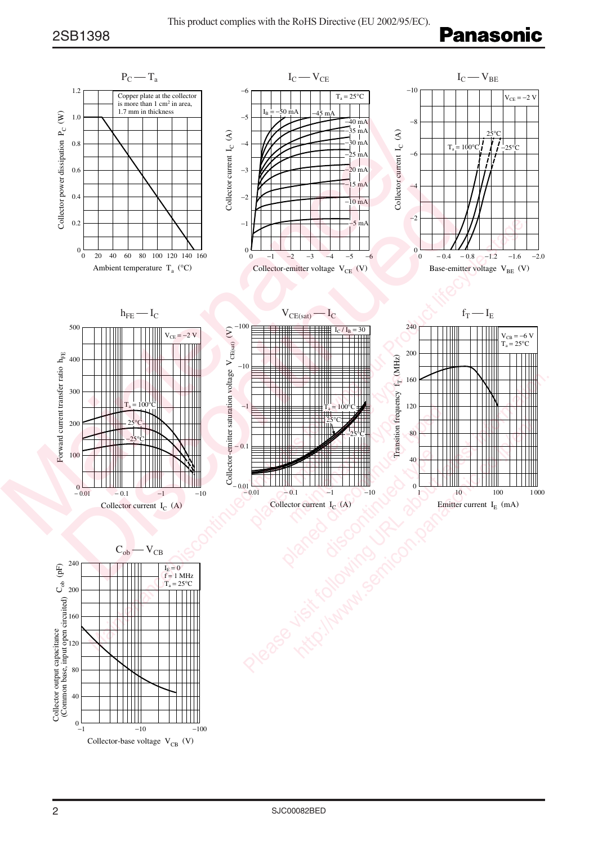## **Panasonic**